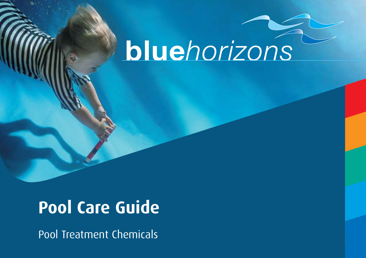# bluehorizons

## **Pool Care Guide**

Pool Treatment Chemicals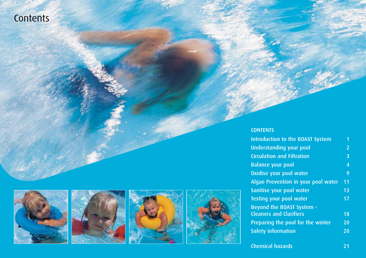**Contents** 









#### **CONTENTS**

| Introduction to the BOAST System    | 1              |
|-------------------------------------|----------------|
| <b>Understanding your pool</b>      | $\overline{2}$ |
| <b>Circulation and Filtration</b>   | 3              |
| <b>Balance your pool</b>            | $\overline{4}$ |
| Oxidise your pool water             | lg,            |
| Algae Prevention in your pool water | 11             |
| Sanitise your pool water            | 13             |
| Testing your pool water             | 17             |
| <b>Beyond the BOAST System -</b>    |                |
| <b>Cleaners and Clarifiers</b>      | 18             |
| Preparing the pool for the winter   | 20             |
| <b>Safety information</b>           | 20             |
|                                     |                |

Chemical hazards 21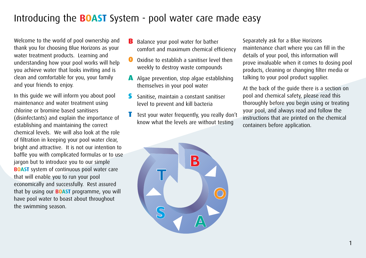### Introducing the **BOAST** System - pool water care made easy

Welcome to the world of pool ownership and thank you for choosing Blue Horizons as your water treatment products. Learning and understanding how your pool works will help you achieve water that looks inviting and is clean and comfortable for you, your family and your friends to enjoy.

In this guide we will inform you about pool maintenance and water treatment using chlorine or bromine based sanitisers (disinfectants) and explain the importance of establishing and maintaining the correct chemical levels. We will also look at the role of filtration in keeping your pool water clear, bright and attractive. It is not our intention to baffle you with complicated formulas or to use jargon but to introduce you to our simple **BOAST** system of continuous pool water care that will enable you to run your pool economically and successfully. Rest assured that by using our **BOAST** programme, you will have pool water to boast about throughout the swimming season.

- B Balance your pool water for bather comfort and maximum chemical efficiency
- O Oxidise to establish a sanitiser level then weekly to destroy waste compounds
- A Algae prevention, stop algae establishing themselves in your pool water
- Sanitise, maintain a constant sanitiser level to prevent and kill bacteria
- Test your water frequently, you really don't know what the levels are without testing

Separately ask for a Blue Horizons maintenance chart where you can fill in the details of your pool, this information will prove invaluable when it comes to dosing pool products, cleaning or changing filter media or talking to your pool product supplier.

At the back of the guide there is a section on pool and chemical safety, please read this thoroughly before you begin using or treating your pool, and always read and follow the instructions that are printed on the chemical containers before application.

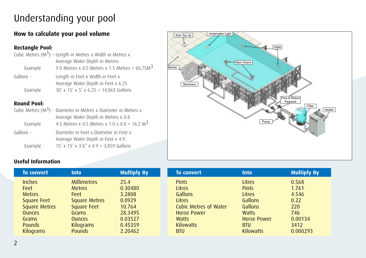### Understanding your pool

### **How to calculate your pool volume**

#### **Rectangle Pool:**

|           | Cubic Metres $(M^3)$ – Length in Metres x Width in Metres x |
|-----------|-------------------------------------------------------------|
|           | Average Water Depth in Metres                               |
| Example   | 9.0 Metres x 4.5 Metres x 1.5 Metres = $60.75M3$            |
| Gallons - | Length in Feet x Width in Feet x                            |
|           | Average Water Depth in Feet x 6.25                          |
| Example   | $30'$ x $15'$ x $5'$ x 6.25 = 14,063 Gallons                |

#### **Round Pool:**

|           | Cubic Metres $(M^3)$ - Diameter in Metres x Diameter in Metres x           |
|-----------|----------------------------------------------------------------------------|
|           | Average Water Depth in Metres x 0.8                                        |
| Example   | 4.5 Metres x 4.5 Metres x 1.0 x 0.8 = 16.2 $M3$                            |
| Gallons - | Diameter in Feet x Diameter in Feet x<br>Average Water Depth in Feet x 4.9 |
| Example   | $15'$ x $15'$ x $3'6''$ x $4.9$ = 3,859 Gallons                            |



#### **Useful Information**

| <b>To convert</b>    | <b>Into</b>          | <b>Multiply By</b> |
|----------------------|----------------------|--------------------|
| <b>Inches</b>        | <b>Millimetres</b>   | 25.4               |
| Feet                 | <b>Metres</b>        | 0.30480            |
| <b>Metres</b>        | Feet                 | 3.2808             |
| <b>Square Feet</b>   | <b>Square Metres</b> | 0.0929             |
| <b>Square Metres</b> | <b>Square Feet</b>   | 10.764             |
| <b>Ounces</b>        | Grams                | 28.3495            |
| Grams                | <b>Ounces</b>        | 0.03527            |
| Pounds               | <b>Kilograms</b>     | 0.45359            |
| <b>Kilograms</b>     | <b>Pounds</b>        | 2.20462            |

| <b>To convert</b>            | <b>Into</b>        | <b>Multiply By</b> |
|------------------------------|--------------------|--------------------|
| <b>Pints</b>                 | Litres             | 0.568              |
| Litres                       | <b>Pints</b>       | 1.761              |
| Gallons                      | Litres             | 4.546              |
| Litres                       | Gallons            | 0.22               |
| <b>Cubic Metres of Water</b> | Gallons            | 220                |
| <b>Horse Power</b>           | <b>Watts</b>       | 746                |
| Watts                        | <b>Horse Power</b> | 0.00134            |
| <b>Kilowatts</b>             | <b>BTU</b>         | 3412               |
| BTU                          | <b>Kilowatts</b>   | 0.000293           |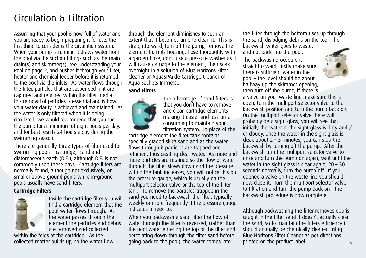### Circulation & Filtration

Assuming that your pool is now full of water and you are ready to begin preparing it for use, the first thing to consider is the circulation system. When your pump is running it draws water from the pool via the suction fittings such as the main drain(s) and skimmer(s), see Understanding your Pool on page 2, and pushes it through your filter, heater and chemical feeder before it is returned to the pool via the inlets. As water flows through the filter, particles that are suspended in it are captured and retained within the filter media – this removal of particles is essential and is how your water clarity is achieved and maintained. As the water is only filtered when it is being circulated, we would recommend that you run the pump for a minimum of eight hours per day, and for best results 24-hours a day during the swimming season.

There are generally three types of filter used for swimming pools – cartridge, sand and diatomaceous earth (D.E.), although D.E. is not commonly used these days. Cartridge filters are normally found, although not exclusively, on smaller above ground pools while in-ground pools usually have sand filters.

#### **Cartridge Filters**



Inside the cartridge filter you will find a cartridge element that the pool water flows through. As the water passes through the element the particles and debris are removed and collected

within the folds of the cartridge. As the collected matter builds up, so the water flow through the element diminishes to such an extent that it becomes time to clean it. This is straightforward, turn off the pump, remove the element from its housing, hose thoroughly with a garden hose, don't use a pressure washer as it will cause damage to the element, then soak overnight in a solution of Blue Horizons Filter Cleaner or AquaSPArkle Cartridge Cleaner or Aqua Sachets Immerse.

#### **Sand Filters**



The advantage of sand filters is that you don't have to remove and clean cartridge elements making it easier and less time consuming to maintain your filtration system. In place of the

cartridge element the filter tank contains specially graded silica sand and as the water flows through it particles are trapped and retained, thus creating clear water. As more and more particles are retained so the flow of water through the filter slows down and the pressure within the tank increases, you will notice this on the pressure gauge, which is usually on the multiport selector valve or the top of the filter tank. To remove the particles trapped in the sand you need to backwash the filter, typically weekly or more frequently if the pressure gauge indicates a need to.

When you backwash a sand filter the flow of water through the filter is reversed, (rather than the pool water entering the top of the filter and percolating down through the filter sand before going back to the pool), the water comes into

the filter through the bottom rises up through the sand, dislodging debris on the top. The backwash water goes to waste,

and not back into the pool.

The backwash procedure is straightforward, firstly make sure there is sufficient water in the pool – the level should be about halfway up the skimmer opening,



then turn off the pump, if there is a valve on your waste line make sure this is open, turn the multiport selector valve to the backwash position and turn the pump back on. On the multiport selector valve there will probably be a sight glass, you will see that initially the water in the sight glass is dirty and / or cloudy, once the water in the sight glass is clear, about  $2 - 3$  minutes, you can stop the backwash by turning off the pump. After the backwash turn the multiport selector valve to rinse and turn the pump on again, wait until the water in the sight glass is clear again,  $20 - 30$ seconds normally, turn the pump off. If you opened a valve on the waste line you should now close it. Turn the multiport selector valve to filtration and turn the pump back on - the backwash procedure is now complete.

3 Although backwashing the filter removes debris caught in the filter sand it doesn't actually clean the sand, so to maintain the filters efficiency it should annually be chemically cleaned using Blue Horizons Filter Cleaner as per directions printed on the product label.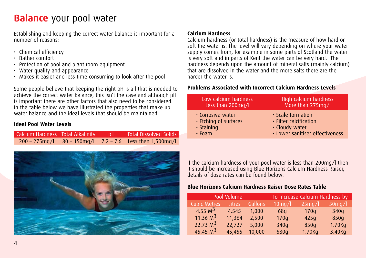Establishing and keeping the correct water balance is important for a number of reasons:

- Chemical efficiency
- Bather comfort
- Protection of pool and plant room equipment
- Water quality and appearance
- Makes it easier and less time consuming to look after the pool

Some people believe that keeping the right pH is all that is needed to achieve the correct water balance, this isn't the case and although pH is important there are other factors that also need to be considered. In the table below we have illustrated the properties that make up water balance and the ideal levels that should be maintained.

#### **Ideal Pool Water Levels**

|  | Calcium Hardness Total Alkalinity pH Total Dissolved Solids      |
|--|------------------------------------------------------------------|
|  | $200 - 275$ mg/l $80 - 150$ mg/l $7.2 - 7.6$ Less than 1,500mg/l |



#### **Calcium Hardness**

Calcium hardness (or total hardness) is the measure of how hard or soft the water is. The level will vary depending on where your water supply comes from, for example in some parts of Scotland the water is very soft and in parts of Kent the water can be very hard. The hardness depends upon the amount of mineral salts (mainly calcium) that are dissolved in the water and the more salts there are the harder the water is.

#### **Problems Associated with Incorrect Calcium Hardness Levels**

| Low calcium hardness  | High calcium hardness           |
|-----------------------|---------------------------------|
| Less than 200mg/l     | More than 275mg/l               |
| • Corrosive water     | • Scale formation               |
| • Etching of surfaces | · Filter calcification          |
| $\cdot$ Staining      | · Cloudy water                  |
| $\cdot$ Foam          | · Lower sanitiser effectiveness |

If the calcium hardness of your pool water is less than 200mg/l then it should be increased using Blue Horizons Calcium Hardness Raiser, details of dose rates can be found below:

#### **Blue Horizons Calcium Hardness Raiser Dose Rates Table**

| Pool Volume         |               |         | To Increase Calcium Hardness by |        |           |
|---------------------|---------------|---------|---------------------------------|--------|-----------|
| <b>Cubic Metres</b> | <b>Litres</b> | Gallons | $10$ mg/l                       | 25mg/l | $50$ mg/l |
| 4.55 $M^3$          | 4.545         | 1.000   | 68q                             | 170q   | 340g      |
| 11.36 $M^3$         | 11,364        | 2,500   | 170q                            | 425q   | 850q      |
| 22.73 $M^3$         | 22.727        | 5,000   | 340g                            | 850q   | 1.70Kg    |
| 45.45 $M^3$         | 45.455        | 10,000  | 680g                            | 1.70Kq | 3.40Kg    |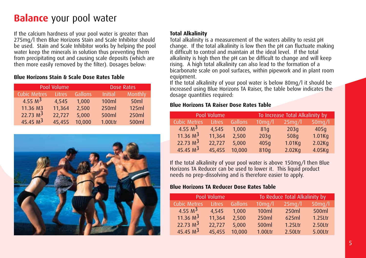If the calcium hardness of your pool water is greater than 275mg/l then Blue Horizons Stain and Scale Inhibitor should be used. Stain and Scale Inhibitor works by helping the pool water keep the minerals in solution thus preventing them from precipitating out and causing scale deposits (which are then more easily removed by the filter). Dosages below:

#### **Blue Horizons Stain & Scale Dose Rates Table**

|                     | Pool Volume | Dose Rates |                |         |
|---------------------|-------------|------------|----------------|---------|
| <b>Cubic Metres</b> | Litres      | Gallons    | <b>Initial</b> | Monthly |
| 4.55 M <sup>3</sup> | 4.545       | 1.000      | 100ml          | 50ml    |
| 11.36 M3            | 11,364      | 2,500      | 250ml          | 125ml   |
| 22.73 $M^3$         | 22.727      | 5,000      | 500ml          | 250ml   |
| 45.45 $M^3$         | 45.455      | 10.000     | 1.00Ltr        | 500ml   |



#### **Total Alkalinity**

Total alkalinity is a measurement of the waters ability to resist pH change. If the total alkalinity is low then the pH can fluctuate making it difficult to control and maintain at the ideal level. If the total alkalinity is high then the pH can be difficult to change and will keep rising. A high total alkalinity can also lead to the formation of a bicarbonate scale on pool surfaces, within pipework and in plant room equipment.

If the total alkalinity of your pool water is below 80mg/l it should be increased using Blue Horizons TA Raiser, the table below indicates the dosage quantities required:

#### **Blue Horizons TA Raiser Dose Rates Table**

| Pool Volume         |               |         | To Increase Total Alkalinity by |           |           |
|---------------------|---------------|---------|---------------------------------|-----------|-----------|
| <b>Cubic Metres</b> | <b>Litres</b> | Gallons | $10$ mg/l                       | $25$ mg/l | $50$ mq/l |
| 4.55 $M^3$          | 4.545         | 1.000   | 81 <sub>q</sub>                 | 203q      | 405q      |
| 11.36 $M^3$         | 11,364        | 2.500   | 203q                            | 508q      | 1.01Kq    |
| 22.73 $M^3$         | 22.727        | 5.000   | 405q                            | 1.01Kq    | 2.02Kq    |
| 45.45 $M^3$         | 45,455        | 10,000  | 810g                            | 2.02Kq    | 4.05Kg    |

If the total alkalinity of your pool water is above 150mg/l then Blue Horizons TA Reducer can be used to lower it. This liquid product needs no prep-dissolving and is therefore easier to apply.

#### **Blue Horizons TA Reducer Dose Rates Table**

| Pool Volume          |               |         | To Reduce Total Alkalinity by |            |            |  |
|----------------------|---------------|---------|-------------------------------|------------|------------|--|
| <b>Cubic Metres</b>  | <b>Litres</b> | Gallons | $10$ mg/l                     | $25$ mg/l  | $50$ mq/l  |  |
| 4.55 $M^3$           | 4.545         | 1.000   | 100ml                         | 250ml      | 500ml      |  |
| 11.36 $M^3$          | 11,364        | 2,500   | 250ml                         | 625ml      | $1.25$ Ltr |  |
| 22.73 M <sup>3</sup> | 22,727        | 5.000   | 500ml                         | $1.25$ Ltr | 2.50Ltr    |  |
| 45.45 $M^3$          | 45,455        | 10,000  | 1.00Ltr                       | 2.50Ltr    | 5.00Ltr    |  |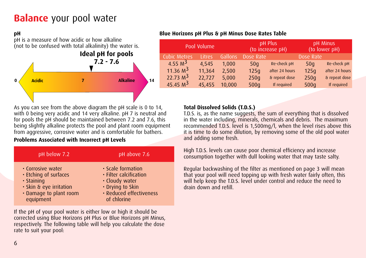#### **pH**



#### **Blue Horizons pH Plus & pH Minus Dose Rates Table**

| Pool Volume         |        |                | pH Plus<br>(to increase pH) | pH Minus<br>(to lower pH) |           |                |
|---------------------|--------|----------------|-----------------------------|---------------------------|-----------|----------------|
| <b>Cubic Metres</b> | Litres | <b>Gallons</b> | Dose Rate                   |                           | Dose Rate |                |
| 4.55 $M^3$          | 4.545  | 1.000          | 50q                         | Re-check pH               | 50q       | Re-check pH    |
| 11.36 $M^3$         | 11,364 | 2,500          | 125q                        | after 24 hours            | 125q      | after 24 hours |
| 22.73 $M^3$         | 22.727 | 5.000          | 250q                        | & repeat dose             | 250q      | & repeat dose  |
| 45.45 $M3$          | 45,455 | 10,000         | 500q                        | If required               | 500q      | If required    |

As you can see from the above diagram the pH scale is 0 to 14, with 0 being very acidic and 14 very alkaline. pH 7 is neutral and for pools the pH should be maintained between 7.2 and 7.6, this being slightly alkaline protects the pool and plant room equipment from aggressive, corrosive water and is comfortable for bathers.

#### **Problems Associated with Incorrect pH Levels**

| pH below 7.2            | pH above 7.6            |
|-------------------------|-------------------------|
| • Corrosive water       | • Scale formation       |
| . Etching of surfaces   | · Filter calcification  |
| $\cdot$ Staining        | · Cloudy water          |
| · Skin & eye irritation | • Drying to Skin        |
| • Damage to plant room  | · Reduced effectiveness |
| equipment               | of chlorine             |

If the pH of your pool water is either low or high it should be corrected using Blue Horizons pH Plus or Blue Horizons pH Minus, respectively. The following table will help you calculate the dose rate to suit your pool:

#### **Total Dissolved Solids (T.D.S.)**

T.D.S. is, as the name suggests, the sum of everything that is dissolved in the water including, minerals, chemicals and debris. The maximum recommended T.D.S. level is 1,500mg/l, when the level rises above this it is time to do some dilution, by removing some of the old pool water and adding some fresh.

High T.D.S. levels can cause poor chemical efficiency and increase consumption together with dull looking water that may taste salty.

Regular backwashing of the filter as mentioned on page 3 will mean that your pool will need topping up with fresh water fairly often, this will help keep the T.D.S. level under control and reduce the need to drain down and refill.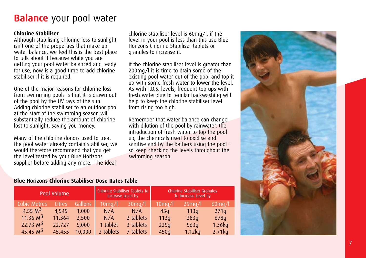#### **Chlorine Stabiliser**

Although stabilising chlorine loss to sunlight isn't one of the properties that make up water balance, we feel this is the best place to talk about it because while you are getting your pool water balanced and ready for use, now is a good time to add chlorine stabiliser if it is required.

One of the major reasons for chlorine loss from swimming pools is that it is drawn out of the pool by the UV rays of the sun. Adding chlorine stabiliser to an outdoor pool at the start of the swimming season will substantially reduce the amount of chlorine lost to sunlight, saving you money.

Many of the chlorine donors used to treat the pool water already contain stabiliser, we would therefore recommend that you get the level tested by your Blue Horizons supplier before adding any more. The ideal

chlorine stabiliser level is 60mg/l, if the level in your pool is less than this use Blue Horizons Chlorine Stabiliser tablets or granules to increase it.

If the chlorine stabiliser level is greater than 200mg/l it is time to drain some of the existing pool water out of the pool and top it up with some fresh water to lower the level. As with T.D.S. levels, frequent top ups with fresh water due to regular backwashing will help to keep the chlorine stabiliser level from rising too high.

Remember that water balance can change with dilution of the pool by rainwater, the introduction of fresh water to top the pool up, the chemicals used to oxidise and sanitise and by the bathers using the pool – so keep checking the levels throughout the swimming season.

#### **Blue Horizons Chlorine Stabiliser Dose Rates Table**

| Pool Volume         |               |         | Increase Level by | Chlorine Stabiliser Tablets To | Chlorine Stabiliser Granules<br>To Increase Level by |           |           |  |
|---------------------|---------------|---------|-------------------|--------------------------------|------------------------------------------------------|-----------|-----------|--|
| <b>Cubic Metres</b> | <b>Litres</b> | Gallons | $10$ mg/l         | $30$ mg/l                      | $10$ mg/l                                            | $25$ mg/l | $60$ mg/l |  |
| 4.55 $M^3$          | 4.545         | 1.000   | N/A               | N/A                            | 45 <sub>q</sub>                                      | 113q      | 271q      |  |
| 11.36 $M^3$         | 11,364        | 2.500   | N/A               | 2 tablets                      | 113q                                                 | 283q      | 678q      |  |
| 22.73 $M^3$         | 22.727        | 5.000   | 1 tablet          | 3 tablets                      | 225q                                                 | 563q      | $1.36$ kg |  |
| 45.45 $M3$          | 45.455        | 10,000  | 2 tablets         | 7 tablets                      | 450q                                                 | 1.12kg    | 2.71kg    |  |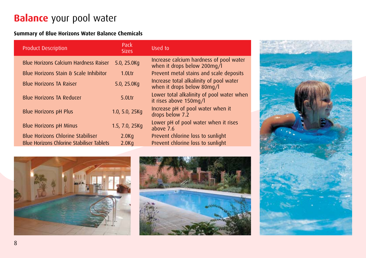#### **Summary of Blue Horizons Water Balance Chemicals**

| <b>Product Description</b>                       | Pack<br><b>Sizes</b> | Used to                                                                |  |
|--------------------------------------------------|----------------------|------------------------------------------------------------------------|--|
| Blue Horizons Calcium Hardness Raiser            | 5.0, 25.0Kg          | Increase calcium hardness of pool water<br>when it drops below 200mg/l |  |
| Blue Horizons Stain & Scale Inhibitor            | 1.0 <sub>ctr</sub>   | Prevent metal stains and scale deposits                                |  |
| <b>Blue Horizons TA Raiser</b>                   | 5.0, 25.0Kg          | Increase total alkalinity of pool water<br>when it drops below 80mg/l  |  |
| <b>Blue Horizons TA Reducer</b>                  | $5.01$ tr            | Lower total alkalinity of pool water when<br>it rises above 150mg/l    |  |
| <b>Blue Horizons pH Plus</b>                     | 1.0, 5.0, $25Kq$     | Increase pH of pool water when it<br>drops below 7.2                   |  |
| <b>Blue Horizons pH Minus</b>                    | 1.5, 7.0, 25Kg       | Lower pH of pool water when it rises<br>above 7.6                      |  |
| <b>Blue Horizons Chlorine Stabiliser</b>         | 2.0 <sub>Kq</sub>    | Prevent chlorine loss to sunlight                                      |  |
| <b>Blue Horizons Chlorine Stabiliser Tablets</b> | 2.0 <sub>Kq</sub>    | Prevent chlorine loss to sunlight                                      |  |





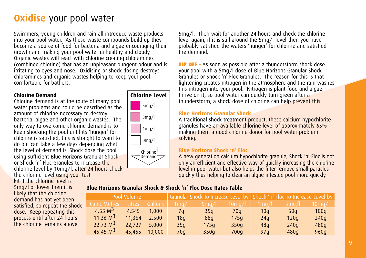### **Oxidise** your pool water

Swimmers, young children and rain all introduce waste products into your pool water. As these waste compounds build up they become a source of food for bacteria and algae encouraging their growth and making your pool water unhealthy and cloudy. Organic wastes will react with chlorine creating chloramines (combined chlorine) that has an unpleasant pungent odour and is irritating to eyes and nose. Oxidising or shock dosing destroys chloramines and organic wastes helping to keep your pool comfortable for bathers.

#### **Chlorine Demand**

Chlorine demand is at the route of many pool water problems and could be described as the amount of chlorine necessary to destroy bacteria, algae and other organic wastes. The only way to overcome chlorine demand is to keep shocking the pool until its 'hunger' for chlorine is satisfied, this is straight forward to do but can take a few days depending what the level of demand is. Shock dose the pool using sufficient Blue Horizons Granular Shock or Shock 'n' Floc Granules to increase the chlorine level by 10mg/l, after 24 hours check the chlorine level using your test

kit if the chlorine level is 5mg/l or lower then it is likely that the chlorine demand has not yet been satisfied, so repeat the shock dose. Keep repeating this process until after 24 hours the chlorine remains above



5mg/l. Then wait for another 24 hours and check the chlorine level again, if it is still around the 5mg/l level then you have probably satisfied the waters 'hunger' for chlorine and satisfied the demand.

TIP OFF - As soon as possible after a thunderstorm shock dose your pool with a 5mg/l dose of Blue Horizons Granular Shock Granules or Shock 'n' Floc Granules. The reason for this is that lightening creates nitrogen in the atmosphere and the rain washes this nitrogen into your pool. Nitrogen is plant food and algae thrive on it, so pool water can quickly turn green after a thunderstorm, a shock dose of chlorine can help prevent this.

#### **Blue Horizons Granular Shock**

A traditional shock treatment product, these calcium hypochlorite granules have an available chlorine level of approximately 65% making them a good chlorine donor for pool water problem solving.

#### **Blue Horizons Shock 'n' Floc**

A new generation calcium hypochlorite granule, Shock 'n' Floc is not only an efficient and effective way of quickly increasing the chlorine level in pool water but also helps the filter remove small particles quickly thus helping to clear an algae infested pool more quickly.

#### **Blue Horizons Granular Shock & Shock 'n' Floc Dose Rates Table**

|              | Pool Volume   |         |                  |                 |           | Granular Shock To Increase Level by Shock 'n' Floc To Increase Level by |                 |           |  |
|--------------|---------------|---------|------------------|-----------------|-----------|-------------------------------------------------------------------------|-----------------|-----------|--|
| Cubic Metres | <b>Litres</b> | Gallons | $1$ ma $\Lambda$ | $5 \text{mq/l}$ | $10$ mg/l | $1$ ma $\Lambda$                                                        | $5 \text{mq/l}$ | $10$ mg/l |  |
| 4.55 $M^3$   | 4.545         | 1.000   | 7q               | 35q             | 70q       | 10 <sub>q</sub>                                                         | 50q             | 100q      |  |
| 11.36 $M^3$  | 11,364        | 2.500   | 18 <sub>q</sub>  | 88q             | 175q      | 24q                                                                     | 120q            | 240q      |  |
| 22.73 $M^3$  | 22.727        | 5.000   | 35q              | 175q            | 350q      | 48q                                                                     | 240q            | 480q      |  |
| 45.45 $M3$   | 45.455        | 10,000  | 70q              | 350q            | 700q      | 97q                                                                     | 480q            | 960q      |  |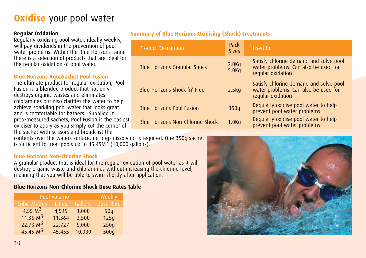### **Oxidise** your pool water

#### **Regular Oxidation**

Regularly oxidising pool water, ideally weekly, will pay dividends in the prevention of pool water problems. Within the Blue Horizons range there is a selection of products that are ideal for the regular oxidation of pool water.

#### **Blue Horizons AquaSachet Pool Fusion**

The ultimate product for regular oxidation, Pool Fusion is a blended product that not only destroys organic wastes and eliminates chloramines but also clarifies the water to help achieve sparkling pool water that looks great and is comfortable for bathers. Supplied in prep-measured sachets, Pool Fusion is the easiest oxidiser to apply as you simply cut the corner of the sachet with scissors and broadcast the

contents over the waters surface, no prep-dissolving is required. One 350g sachet is sufficient to treat pools up to  $45.45M<sup>3</sup>$  (10,000 gallons).

#### **Blue Horizons Non-Chlorine Shock**

A granular product that is ideal for the regular oxidation of pool water as it will destroy organic waste and chloramines without increasing the chlorine level, meaning that you will be able to swim shortly after application.

#### **Blue Horizons Non-Chlorine Shock Dose Rates Table**

| Pool Volume  | Weekly |         |           |
|--------------|--------|---------|-----------|
| Cubic Metres | Litres | Gallons | Dose Rate |
| 4.55 $M^3$   | 4,545  | 1,000   | 50q       |
| 11.36 $M^3$  | 11,364 | 2,500   | 125q      |
| 22.73 $M3$   | 22,727 | 5,000   | 250q      |
| 45.45 $M^3$  | 45,455 | 10,000  | 500q      |

#### **Summary of Blue Horizons Oxidising (Shock) Treatments**

| <b>Product Description</b>              | Pack<br><b>Sizes</b> | Used to                                                                                             |
|-----------------------------------------|----------------------|-----------------------------------------------------------------------------------------------------|
| <b>Blue Horizons Granular Shock</b>     | 2.0Kq<br>5.0Kq       | Satisfy chlorine demand and solve pool<br>water problems. Can also be used for<br>regular oxidation |
| Blue Horizons Shock 'n' Floc            | 2.5K <sub>q</sub>    | Satisfy chlorine demand and solve pool<br>water problems. Can also be used for<br>regular oxidation |
| <b>Blue Horizons Pool Fusion</b>        | 350q                 | Regularly oxidise pool water to help<br>prevent pool water problems                                 |
| <b>Blue Horizons Non-Chlorine Shock</b> | 1.0 <sub>Kq</sub>    | Regularly oxidise pool water to help<br>prevent pool water problems                                 |

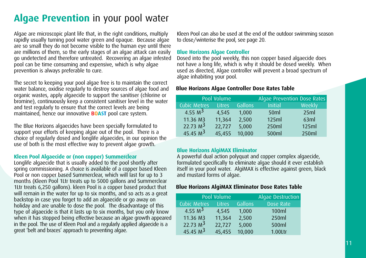### **Algae Prevention** in your pool water

Algae are microscopic plant life that, in the right conditions, multiply rapidly usually turning pool water green and opaque. Because algae are so small they do not become visible to the human eye until there are millions of them, so the early stages of an algae attack can easily go undetected and therefore untreated. Recovering an algae infested pool can be time consuming and expensive, which is why algae prevention is always preferable to cure.

The secret to keeping your pool algae free is to maintain the correct water balance, oxidise regularly to destroy sources of algae food and organic wastes, apply algaecide to support the sanitiser (chlorine or bromine), continuously keep a consistent sanitiser level in the water and test regularly to ensure that the correct levels are being maintained, hence our innovative **BOAST** pool care system.

The Blue Horizons algaecides have been specially formulated to support your efforts of keeping algae out of the pool. There is a choice of regularly dosed and longlife algaecides, in our opinion the use of both is the most effective way to prevent algae growth.

#### **Kleen Pool Algaecide or (non copper) Summerclear**

Longlife algaecide that is usually added to the pool shortly after spring commissioning. A choice is available of a copper based Kleen Pool or non copper based Summerclear, which will last for up to 3 months (Kleen Pool 1Ltr treats up to 5000 gallons and Summerclear 1Ltr treats 6,250 gallons). kleen Pool is a copper based product that will remain in the water for up to six months, and so acts as a great backstop in case you forget to add an algaecide or go away on holiday and are unable to dose the pool. The disadvantage of this type of algaecide is that it lasts up to six months, but you only know when it has stopped being effective because an algae growth appeared in the pool. The use of Kleen Pool and a regularly applied algaecide is a great 'belt and braces' approach to preventing algae.

Kleen Pool can also be used at the end of the outdoor swimming season to close/winterise the pool, see page 20.

#### **Blue Horizons Algae Controller**

Dosed into the pool weekly, this non copper based algaecide does not have a long life, which is why it should be dosed weekly. When used as directed, Algae controller will prevent a broad spectrum of algae inhabiting your pool.

#### **Blue Horizons Algae Controller Dose Rates Table**

|                      | Pool Volume   |         | Algae Prevention Dose Rates |        |
|----------------------|---------------|---------|-----------------------------|--------|
| Cubic Metres         | <b>Litres</b> | Gallons | <b>Initial</b>              | Weekly |
| 4.55 $M^3$           | 4.545         | 1.000   | 50ml                        | 25ml   |
| 11.36 M3             | 11,364        | 2,500   | 125ml                       | 63ml   |
| 22.73 M <sup>3</sup> | 22,727        | 5,000   | 250ml                       | 125ml  |
| 45.45 $M3$           | 45,455        | 10,000  | 500ml                       | 250ml  |
|                      |               |         |                             |        |

#### **Blue Horizons AlgiMAX Eliminator**

A powerful dual action polyquat and copper complex algaecide, formulated specifically to eliminate algae should it ever establish itself in your pool water. AlgiMAX is effective against green, black and mustard forms of algae.

#### **Blue Horizons AlgiMAX Eliminator Dose Rates Table**

| Pool Volume         |               | Algae Destruction |           |
|---------------------|---------------|-------------------|-----------|
| <b>Cubic Metres</b> | <b>Litres</b> | Gallons           | Dose Rate |
| 4.55 $M^3$          | 4,545         | 1,000             | 100ml     |
| 11.36 M3            | 11,364        | 2,500             | 250ml     |
| 22.73 $M3$          | 22,727        | 5,000             | 500ml     |
| 45.45 $M3$          | 45,455        | 10,000            | 1.00Ltr   |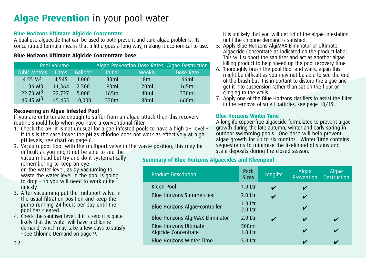### **Algae Prevention** in your pool water

#### **Blue Horizons Ultimate Algicide Concentrate**

A dual use algaecide that can be used to both prevent and cure algae problems. Its concentrated formula means that a little goes a long way, making it economical to use.

#### **Blue Horizons Ultimate Algicide Concentrate Dose**

|                     | Pool Volume |         |                |                 | Algae Prevention Dose Rates Algae Destruction |
|---------------------|-------------|---------|----------------|-----------------|-----------------------------------------------|
| <b>Cubic Metres</b> | Litres      | Gallons | <b>Initial</b> | Weekly          | Dose Rate                                     |
| 4.55 $M^3$          | 4.545       | 1.000   | 33ml           | 8ml             | 66ml                                          |
| 11.36 M3            | 11.364      | 2.500   | 83ml           | 20ml            | 165ml                                         |
| 22.73 $M3$          | 22,727      | 5.000   | 165ml          | 40ml            | 330ml                                         |
| 45.45 $M3$          | 45,455      | 10,000  | 330ml          | 80 <sub>m</sub> | 660ml                                         |

#### **Recovering an Algae Infested Pool**

If you are unfortunate enough to suffer from an algae attack then this recovery routine should help when you have a conventional filter.

- 1. Check the pH, it is not unusual for algae infested pools to have a high pH level if this is the case lower the pH as chlorine does not work as effectively at high pH levels, see chart on page 6.
- 2. Vacuum pool floor with the multiport valve in the waste position, this may be difficult as you might not be able to see the vacuum head but try and do it systematically remembering to keep an eye on the water level, as by vacuuming to waste the water level in the pool is going to drop – so you will need to work quite
- quickly. 3. After vacuuming put the multiport valve in the usual filtration position and keep the pump running 24 hours per day until the
- pool has cleared. 4. Check the sanitiser level, if it is zero it is quite likely that the water will have a chlorine demand, which may take a few days to satisfy - see Chlorine Demand on page 9.

It is unlikely that you will get rid of the algae infestation until the chlorine demand is satisfied.

- 5. Apply Blue Horizons AlgiMAX Eliminator or Ultimate Algaecide Concentrate as indicated on the product label. This will support the sanitiser and act as another algae killing product to help speed up the pool recovery time.
- 6. Thoroughly brush the pool floor and walls, again this might be difficult as you may not be able to see the end of the brush but it is important to disturb the algae and get it into suspension rather than sat on the floor or clinging to the walls.
- 7. Apply one of the Blue Horizons clarifiers to assist the filter in the removal of small particles, see page 18/19.

#### **Blue Horizons Winter Time**

A longlife copper-free algaecide formulated to prevent algae growth during the late autumn, winter and early spring in outdoor swimming pools. One dose will help prevent algae growth for up to six months. Winter Time contains sequestrants to minimise the likelihood of stains and scale deposits during the closed season.

#### **Summary of Blue Horizons Algaecides and Kleenpool**

| <b>Product Description</b>                            | Pack<br><b>Sizes</b>   | Longlife | Algae<br><b>Prevention</b> | Algae<br><b>Destruction</b> |
|-------------------------------------------------------|------------------------|----------|----------------------------|-----------------------------|
| Kleen Pool                                            | $1.0$ Ltr              | ✔        | ✓                          |                             |
| Blue Horizons Summerclear                             | $2.0$ Ltr              | V        | ✓                          |                             |
| Blue Horizons Algae-controller                        | $1.0$ Ltr<br>$2.0$ Ltr |          | ✔                          |                             |
| Blue Horizons AlgiMAX Eliminator                      | $2.0$ Ltr              | ✔        | ✔                          |                             |
| <b>Blue Horizons Ultimate</b><br>Algicide Concentrate | 500ml<br>$1.0$ Ltr     |          | $\mathbf{v}$               |                             |
| <b>Blue Horizons Winter Time</b>                      | $5.0$ Ltr              |          | v                          |                             |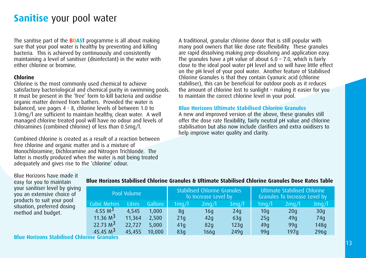The sanitise part of the **BOAST** programme is all about making sure that your pool water is healthy by preventing and killing bacteria. This is achieved by continuously and consistently maintaining a level of sanitiser (disinfectant) in the water with either chlorine or bromine.

#### **Chlorine**

Chlorine is the most commonly used chemical to achieve satisfactory bacteriological and chemical purity in swimming pools. It must be present in the 'free' form to kill bacteria and oxidise organic matter derived from bathers. Provided the water is balanced, see pages 4 - 8, chlorine levels of between 1.0 to 3.0mg/l are sufficient to maintain healthy, clean water. A well managed chlorine treated pool will have no odour and levels of chloramines (combined chlorine) of less than 0.5mg/l.

Combined chlorine is created as a result of a reaction between free chlorine and organic matter and is a mixture of Monochloramine, Dichloramine and Nitrogen Trichloride. The latter is mostly produced when the water is not being treated adequately and gives rise to the 'chlorine' odour.

A traditional, granular chlorine donor that is still popular with many pool owners that like dose rate flexibility. These granules are rapid dissolving making prep-dissolving and application easy. The granules have a pH value of about  $6.0 - 7.0$ , which is fairly close to the ideal pool water pH level and so will have little effect on the pH level of your pool water. Another feature of Stabilised Chlorine Granules is that they contain Cyanuric acid (chlorine stabiliser), this can be beneficial for outdoor pools as it reduces the amount of chlorine lost to sunlight – making it easier for you to maintain the correct chlorine level in your pool.

#### **Blue Horizons Ultimate Stabilised Chlorine Granules**

A new and improved version of the above, these granules still offer the dose rate flexibility, fairly neutral pH value and chlorine stabilisation but also now include clarifiers and extra oxidisers to help improve water quality and clarity.

Blue Horizons have made it easy for you to maintain your sanitiser level by giving you an extensive choice of products to suit your pool situation, preferred dosing method and budget.

#### **Blue Horizons Stabilised Chlorine Granules & Ultimate Stabilised Chlorine Granules Dose Rates Table**

| Pool Volume |                     |        |         |       | <b>Stabilised Chlorine Granules</b><br>To Increase Level by |       | Ultimate Stabilised Chlorine<br>Granules To Increase Level by |                  |                 |  |
|-------------|---------------------|--------|---------|-------|-------------------------------------------------------------|-------|---------------------------------------------------------------|------------------|-----------------|--|
|             | <b>Cubic Metres</b> | Litres | Gallons | 1mg/l | 2mq/l                                                       | 3mq/l | $1$ mg/l                                                      | 2mq/l            | 3mg/l           |  |
|             | 4.55 $M^3$          | 4.545  | 1.000   | 8q    | 16q                                                         | 24q   | 10 <sub>q</sub>                                               | 20q              | 30q             |  |
|             | 11.36 $M^3$         | 11,364 | 2.500   | 21q   | 42q                                                         | 63q   | 25q                                                           | 49 <sub>0</sub>  | 74 <sub>q</sub> |  |
|             | 22.73 $M^3$         | 22,727 | 5,000   | 41q   | 82q                                                         | 123q  | 49 <sub>0</sub>                                               | 99 <sub>0</sub>  | 148q            |  |
|             | 45.45 $M3$          | 45,455 | 10,000  | 83q   | 166q                                                        | 249q  | 99q                                                           | 197 <sub>0</sub> | 296q            |  |

**Blue Horizons Stabilised Chlorine Granules**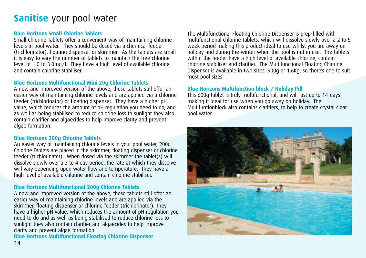#### **Blue Horizons Small Chlorine Tablets**

Small Chlorine Tablets offer a convenient way of maintaining chlorine levels in pool water. They should be dosed via a chemical feeder (trichlorinator), floating dispenser or skimmer. As the tablets are small it is easy to vary the number of tablets to maintain the free chlorine level of 1.0 to 3.0mg/l. They have a high level of available chlorine and contain chlorine stabiliser.

#### **Blue Horizons Multifunctional Mini 20g Chlorine Tablets**

A new and improved version of the above, these tablets still offer an easier way of maintaining chlorine levels and are applied via a chlorine feeder (trichlorinator) or floating dispenser. They have a higher pH value, which reduces the amount of pH regulation you need to do, and as well as being stabilised to reduce chlorine loss to sunlight they also contain clarifier and algaecides to help improve clarity and prevent algae formation.

#### **Blue Horizons 200g Chlorine Tablets**

An easier way of maintaining chlorine levels in your pool water, 200g Chlorine Tablets are placed in the skimmer, floating dispenser or chlorine feeder (trichlorinator). When dosed via the skimmer the tablet(s) will dissolve slowly over a 3 to 4 day period, the rate at which they dissolve will vary depending upon water flow and temperature. They have a high level of available chlorine and contain chlorine stabiliser.

#### **Blue Horizons Multifunctional 200g Chlorine Tablets**

A new and improved version of the above, these tablets still offer an easier way of maintaining chlorine levels and are applied via the skimmer, floating dispenser or chlorine feeder (trichlorinator). They have a higher pH value, which reduces the amount of pH regulation you need to do and as well as being stabilised to reduce chlorine loss to sunlight they also contain clarifier and algaecides to help improve clarity and prevent algae formation.

**Blue Horizons Multifunctional Floating Chlorine Dispenser**

The Multifunctional Floating Chlorine Dispenser is prep-filled with multifunctional chlorine tablets, which will dissolve slowly over a 2 to 5 week period making this product ideal to use whilst you are away on holiday and during the winter when the pool is not in use. The tablets within the feeder have a high level of available chlorine, contain chlorine stabiliser and clarifier. The Multifunctional Floating Chlorine Dispenser is available in two sizes, 900g or 1.6Kg, so there's one to suit most pool sizes.

#### **Blue Horizons Multifunction block / Holiday Pill**

This 600g tablet is truly multifunctional, and will last up to 14-days making it ideal for use when you go away on holiday. The Multifuntionblock also contains clarifiers, to help to create crystal clear pool water.

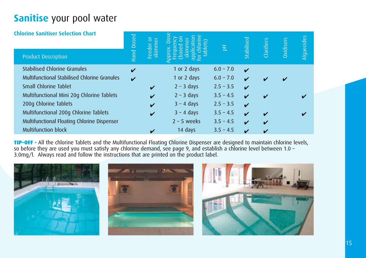| <b>Chlorine Sanitiser Selection Chart</b>    |                            | $\overline{\sigma}$<br>Feeder or<br>skimmer | ⌒             | 품           | Stabilised              | <b>Clarifiers</b>          | <b>Oxidisers</b> | Algaecides |
|----------------------------------------------|----------------------------|---------------------------------------------|---------------|-------------|-------------------------|----------------------------|------------------|------------|
| <b>Product Description</b>                   | <b>Line</b>                |                                             |               |             |                         |                            |                  |            |
| <b>Stabilised Chlorine Granules</b>          |                            |                                             | 1 or 2 days   | $6.0 - 7.0$ | $\boldsymbol{\nu}$      |                            |                  |            |
| Multifunctional Stabilised Chlorine Granules | $\boldsymbol{\mathcal{U}}$ |                                             | 1 or 2 days   | $6.0 - 7.0$ | $\boldsymbol{\nu}$      | $\boldsymbol{\checkmark}$  |                  |            |
| Small Chlorine Tablet                        |                            | V                                           | $2 - 3$ days  | $2.5 - 3.5$ | $\boldsymbol{\nu}$      |                            |                  |            |
| Multifunctional Mini 20g Chlorine Tablets    |                            | ✔                                           | $2 - 3$ days  | $3.5 - 4.5$ | ✓                       | $\boldsymbol{\nu}$         |                  |            |
| 200q Chlorine Tablets                        |                            | V                                           | $3 - 4$ days  | $2.5 - 3.5$ | ✓                       |                            |                  |            |
| Multifunctional 200g Chlorine Tablets        |                            | V                                           | $3 - 4$ days  | $3.5 - 4.5$ | $\overline{\mathbf{v}}$ | $\mathbf{v}$               |                  |            |
| Multifunctional Floating Chlorine Dispenser  |                            |                                             | $2 - 5$ weeks | $3.5 - 4.5$ | ✓                       | $\boldsymbol{\mathcal{U}}$ |                  |            |
| <b>Multifunction block</b>                   |                            |                                             | 14 days       | $3.5 - 4.5$ | ✓                       | $\boldsymbol{\mathcal{U}}$ |                  |            |
|                                              |                            |                                             |               |             |                         |                            |                  |            |

TIP-OFF - All the chlorine Tablets and the Multifunctional Floating Chlorine Dispenser are designed to maintain chlorine levels, so before they are used you must satisfy any chlorine demand, see page 9, and establish a chlorine level between 1.0 – 3.0mg/l. Always read and follow the instructions that are printed on the product label.

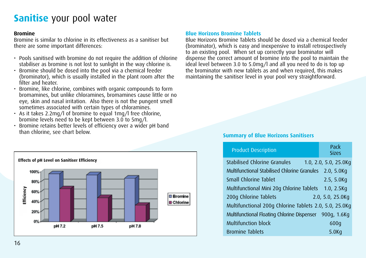#### **Bromine**

Bromine is similar to chlorine in its effectiveness as a sanitiser but there are some important differences:

- Pools sanitised with bromine do not require the addition of chlorine stabiliser as bromine is not lost to sunlight in the way chlorine is.
- Bromine should be dosed into the pool via a chemical feeder (brominator), which is usually installed in the plant room after the filter and heater.
- Bromine, like chlorine, combines with organic compounds to form bromamines, but unlike chloramines, bromamines cause little or no eye, skin and nasal irritation. Also there is not the pungent smell sometimes associated with certain types of chloramines.
- As it takes 2.2mg/l of bromine to equal 1mg/l free chlorine, bromine levels need to be kept between 3.0 to 5mg/l.
- Bromine retains better levels of efficiency over a wider pH band than chlorine, see chart below.



#### **Blue Horizons Bromine Tablets**

Blue Horizons Bromine Tablets should be dosed via a chemical feeder (brominator), which is easy and inexpensive to install retrospectively to an existing pool. When set up correctly your brominator will dispense the correct amount of bromine into the pool to maintain the ideal level between 3.0 to 5.0mg/l and all you need to do is top up the brominator with new tablets as and when required, this makes maintaining the sanitiser level in your pool very straightforward.

#### **Summary of Blue Horizons Sanitisers**

| <b>Product Description</b>                              | Pack<br><b>Sizes</b>  |
|---------------------------------------------------------|-----------------------|
| Stabilised Chlorine Granules                            | 1.0, 2.0, 5.0, 25.0Kg |
| Multifunctional Stabilised Chlorine Granules            | 2.0, 5.0Kq            |
| Small Chlorine Tablet                                   | 2.5, 5.0Kq            |
| Multifunctional Mini 20g Chlorine Tablets               | 1.0, 2.5Kq            |
| 200g Chlorine Tablets                                   | 2.0, 5.0, 25.0Kg      |
| Multifunctional 200q Chlorine Tablets 2.0, 5.0, 25.0Kg  |                       |
| Multifunctional Floating Chlorine Dispenser 900g, 1.6Kg |                       |
| <b>Multifunction block</b>                              | 600q                  |
| <b>Bromine Tablets</b>                                  | 5.0 <sub>K</sub> q    |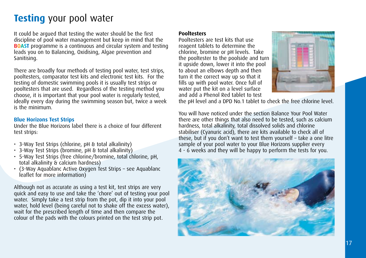### **Testing** your pool water

It could be argued that testing the water should be the first discipline of pool water management but keep in mind that the **BOAST** programme is a continuous and circular system and testing leads you on to Balancing, Oxidising, Algae prevention and Sanitising.

There are broadly four methods of testing pool water, test strips, pooltesters, comparator test kits and electronic test kits. For the testing of domestic swimming pools it is usually test strips or pooltesters that are used. Regardless of the testing method you choose, it is important that your pool water is regularly tested, ideally every day during the swimming season but, twice a week is the minimum.

#### **Blue Horizons Test Strips**

Under the Blue Horizons label there is a choice of four different test strips:

- 3-Way Test Strips (chlorine, pH & total alkalinity)
- 3-Way Test Strips (bromine, pH & total alkalinity)
- 5-Way Test Strips (free chlorine/bromine, total chlorine, pH, total alkalinity & calcium hardness)
- (3-Way Aquablanc Active Oxygen Test Strips see Aquablanc leaflet for more information)

Although not as accurate as using a test kit, test strips are very quick and easy to use and take the 'chore' out of testing your pool water. Simply take a test strip from the pot, dip it into your pool water, hold level (being careful not to shake off the excess water), wait for the prescribed length of time and then compare the colour of the pads with the colours printed on the test strip pot.

#### **Pooltesters**

Pooltesters are test kits that use reagent tablets to determine the chlorine, bromine or pH levels. Take the pooltester to the poolside and turn it upside down, lower it into the pool to about an elbows depth and then turn it the correct way up so that it fills up with pool water. Once full of water put the kit on a level surface and add a Phenol Red tablet to test



the pH level and a DPD No.1 tablet to check the free chlorine level.

You will have noticed under the section Balance Your Pool Water there are other things that also need to be tested, such as calcium hardness, total alkalinity, total dissolved solids and chlorine stabiliser (Cyanuric acid), there are kits available to check all of these, but if you don't want to test them yourself – take a one litre sample of your pool water to your Blue Horizons supplier every 4 - 6 weeks and they will be happy to perform the tests for you.

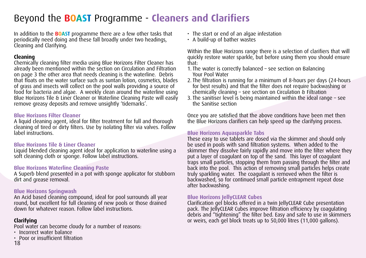### Beyond the **BOAST** Programme - **Cleaners and Clarifiers**

In addition to the **BOAST** programme there are a few other tasks that periodically need doing and these fall broadly under two headings, Cleaning and Clarifying.

#### **Cleaning**

Chemically cleaning filter media using Blue Horizons Filter Cleaner has already been mentioned within the section on Circulation and Filtration on page 3 the other area that needs cleaning is the waterline. Debris that floats on the water surface such as suntan lotion, cosmetics, blades of grass and insects will collect on the pool walls providing a source of food for bacteria and algae. A weekly clean around the waterline using Blue Horizons Tile & Liner Cleaner or Waterline Cleaning Paste will easily remove greasy deposits and remove unsightly 'tidemarks'.

#### **Blue Horizons Filter Cleaner**

A liquid cleaning agent, ideal for filter treatment for full and thorough cleaning of tired or dirty filters. Use by isolating filter via valves. Follow label instructions.

#### **Blue Horizons Tile & Liner Cleaner**

Liquid blended cleaning agent ideal for application to waterline using a soft cleaning cloth or sponge. Follow label instructions.

#### **Blue Horizons Waterline Cleaning Paste**

A Superb blend presented in a pot with sponge applicator for stubborn dirt and grease removal.

#### **Blue Horizons Springwash**

An Acid based cleaning compound, ideal for pool surrounds all year round, but excellent for full cleaning of new pools or those drained down for whatever reason. Follow label instructions.

#### **Clarifying**

Pool water can become cloudy for a number of reasons:

- Incorrect water balance
- Poor or insufficient filtration
- The start or end of an algae infestation
- A build-up of bather wastes

Within the Blue Horizons range there is a selection of clarifiers that will quickly restore water sparkle, but before using them you should ensure that:

- 1. The water is correctly balanced see section on Balancing Your Pool Water
- 2. The filtration is running for a minimum of 8-hours per days (24-hours for best results) and that the filter does not require backwashing or chemically cleaning – see section on Circulation & Filtration
- 3. The sanitiser level is being maintained within the ideal range see the Sanitise section

Once you are satisfied that the above conditions have been met then the Blue Horizons clarifiers can help speed up the clarifying process.

#### **Blue Horizons Aquasparkle Tabs**

These easy to use tablets are dosed via the skimmer and should only be used in pools with sand filtration systems. When added to the skimmer they dissolve fairly rapidly and move into the filter where they put a layer of coagulant on top of the sand. This layer of coagulant traps small particles, stopping them from passing through the filter and back into the pool. This action of removing small particles helps create truly sparkling water. The coagulant is removed when the filter is backwashed, so for continued small particle entrapment repeat dose after backwashing.

#### **Blue Horizons JellyCLEAR Cubes**

Clarification gel blocks offered in a twin JellyCLEAR Cube presentation pack. The JellyCLEAR Cubes improve filtration efficiency by coagulating debris and "tightening" the filter bed. Easy and safe to use in skimmers or weirs, each gel block treats up to 50,000 litres (11,000 gallons).

18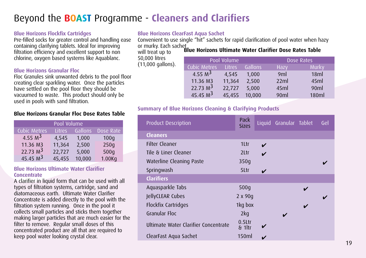### Beyond the **BOAST** Programme - **Cleaners and Clarifiers**

#### **Blue Horizons Flockfix Cartridges**

Pre-filled socks for greater control and handling ease containing clarifying tablets. Ideal for improving filtration efficiency and excellent support to non chlorine, oxygen based systems like Aquablanc.

#### **Blue Horizons Granular Floc**

Floc Granules sink unwanted debris to the pool floor creating clear sparkling water. Once the particles have settled on the pool floor they should be vacuumed to waste. This product should only be used in pools with sand filtration.

#### **Blue Horizons Granular Floc Dose Rates Table**

| Pool Volume  |               |         |                     |  |  |  |
|--------------|---------------|---------|---------------------|--|--|--|
| Cubic Metres | <b>Litres</b> | Gallons | Dose Rate           |  |  |  |
| 4.55 $M^3$   | 4,545         | 1,000   | 100q                |  |  |  |
| 11.36 M3     | 11,364        | 2,500   | 250q                |  |  |  |
| 22.73 $M3$   | 22,727        | 5,000   | 500g                |  |  |  |
| 45.45 $M3$   | 45,455        | 10,000  | 1.00 <sub>K</sub> q |  |  |  |

#### **Blue Horizons Ultimate Water Clarifier Concentrate**

A clarifier in liquid form that can be used with all types of filtration systems, cartridge, sand and diatomaceous earth. Ultimate Water Clarifier Concentrate is added directly to the pool with the filtration system running. Once in the pool it collects small particles and sticks them together making larger particles that are much easier for the filter to remove. Regular small doses of this concentrated product are all that are required to keep pool water looking crystal clear.

#### **Blue Horizons ClearFast Aqua Sachet**

or murky. Each sachet<br>will treat up to **Blue Horizons Ultimate Water Clarifier Dose Rates Table** Convenient to use single "hit" sachets for rapid clarification of pool water when hazy

will treat up to 50,000 litres

(11,000 gallons).

|                     | Pool Volume |               |         | Dose Rates      |       |  |
|---------------------|-------------|---------------|---------|-----------------|-------|--|
| <b>Cubic Metres</b> |             | <b>Litres</b> | Gallons | Hazy            | Murky |  |
|                     | 4.55 $M^3$  | 4.545         | 1.000   | 9ml             | 18ml  |  |
|                     | 11.36 M3    | 11,364        | 2.500   | 22ml            | 45ml  |  |
|                     | 22.73 $M^3$ | 22.727        | 5,000   | 45ml            | 90ml  |  |
|                     | 45.45 $M3$  | 45.455        | 10,000  | 90 <sub>m</sub> | 180ml |  |

#### **Summary of Blue Horizons Cleaning & Clarifying Products**

| <b>Product Description</b>           | Pack<br><b>Sizes</b>  |   | Liquid Granular Tablet |   | Gel |
|--------------------------------------|-----------------------|---|------------------------|---|-----|
| <b>Cleaners</b>                      |                       |   |                        |   |     |
| <b>Filter Cleaner</b>                | 1Ltr                  | V |                        |   |     |
| Tile & Liner Cleaner                 | 2Ltr                  | V |                        |   |     |
| Waterline Cleaning Paste             | 350q                  |   |                        |   |     |
| Springwash                           | 5Ltr                  | ✔ |                        |   |     |
| <b>Clarifiers</b>                    |                       |   |                        |   |     |
| Aquasparkle Tabs                     | 500q                  |   |                        | ✔ |     |
| JellyCLEAR Cubes                     | 2 x 90g               |   |                        |   |     |
| Flockfix Cartridges                  | 1kg box               |   |                        | ✔ |     |
| <b>Granular Floc</b>                 | 2kg                   |   |                        |   |     |
| Ultimate Water Clarifier Concentrate | $0.5$ Ltr<br>$81$ ltr |   |                        |   |     |
| ClearFast Agua Sachet                | 150ml                 |   |                        |   |     |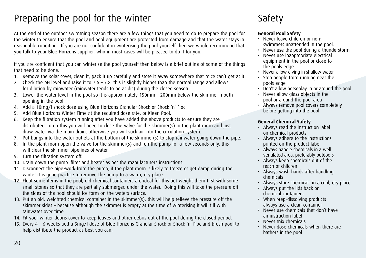### Preparing the pool for the winter

At the end of the outdoor swimming season there are a few things that you need to do to prepare the pool for the winter to ensure that the pool and pool equipment are protected from damage and that the water stays in reasonable condition. If you are not confident in winterising the pool yourself then we would recommend that you talk to your Blue Horizons supplier, who in most cases will be pleased to do it for you.

If you are confident that you can winterise the pool yourself then below is a brief outline of some of the things that need to be done.

- 1. Remove the solar cover, clean it, pack it up carefully and store it away somewhere that mice can't get at it.
- 2. Check the pH level and raise it to  $7.6 7.8$ , this is slightly higher than the normal range and allows for dilution by rainwater (rainwater tends to be acidic) during the closed season.
- 3. Lower the water level in the pool so it is approximately 150mm 200mm below the skimmer mouth opening in the pool.
- 4. Add a 10mg/l shock dose using Blue Horizons Granular Shock or Shock 'n' Floc
- 5. Add Blue Horizons Winter Time at the required dose rate, or Kleen Pool.
- 6. Keep the filtration system running after you have added the above products to ensure they are distributed, to do this you will need to close the valve for the skimmer(s) in the plant room and just draw water via the main drain, otherwise you will suck air into the circulation system.
- 7. Put bungs into the water outlets at the bottom of the skimmer(s) to stop rainwater going down the pipe.
- 8. In the plant room open the valve for the skimmer(s) and run the pump for a few seconds only, this will clear the skimmer pipelines of water.
- 9. Turn the filtration system off.
- 10. Drain down the pump, filter and heater as per the manufacturers instructions.
- 11. Disconnect the pipe-work from the pump, if the plant room is likely to freeze or get damp during the winter it is good practice to remove the pump to a warm, dry place.
- 12. Float some items in the pool, old chemical containers are ideal for this but weight them first with some small stones so that they are partially submerged under the water. Doing this will take the pressure off the sides of the pool should ice form on the waters surface.
- 13. Put an old, weighted chemical container in the skimmer(s), this will help relieve the pressure off the skimmer sides – because although the skimmer is empty at the time of winterising it will fill with rainwater over time.
- 14. Fit your winter debris cover to keep leaves and other debris out of the pool during the closed period.
- 15. Every 4 6 weeks add a 5mg/l dose of Blue Horizons Granular Shock or Shock 'n' Floc and brush pool to help distribute the product as best you can.

### Safety

#### **General Pool Safety**

- Never leave children or nonswimmers unattended in the pool.
- Never use the pool during a thunderstorm
- $\cdot$  Never use inappropriate electrical equipment in the pool or close to the pools edge
- Never allow diving in shallow water
- Stop people from running near the pools edge
- Don't allow horseplay in or around the pool
- Never allow glass objects in the pool or around the pool area
- Always remove pool covers completely before getting into the pool

#### **General Chemical Safety**

- Always read the instruction label on chemical products
- Always adhere to the instructions printed on the product label
- Always handle chemicals in a well ventilated area, preferably outdoors
- Always keep chemicals out of the reach of children
- Always wash hands after handling chemicals
- Always store chemicals in a cool, dry place
- Always put the lids back on chemical containers
- When prep-dissolving products always use a clean container
- Never use chemicals that don't have an instruction label
- Never mix chemicals
- Never dose chemicals when there are bathers in the pool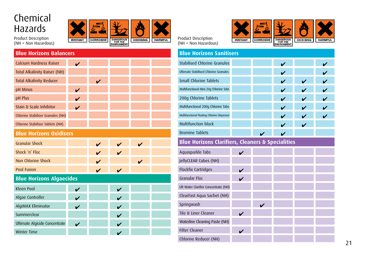### Chemical Hazards

Product Description (NH = Non Hazardous)



| <b>HARMFUL</b> | <b>Product Description</b><br>(NH = Non Hazardous) | <b>IRRITANT</b> | <b>CORROS</b> |
|----------------|----------------------------------------------------|-----------------|---------------|
|                | <b>Blue Horizons Sanitisers</b>                    |                 |               |
|                | <b>Stabilised Chlorine Granules</b>                |                 |               |
|                | Ultimate Stabilised Chlorine Granules              |                 |               |
|                | Small Chlorine Tablets                             |                 |               |
|                | Multifunctional Mini 20g Chlorine Tabs             |                 |               |
|                | 200g Chlorine Tablets                              |                 |               |
|                | Multifunctional 200g Chlorine Tabs                 |                 |               |
|                | Multifunctional Floating Chlorine Dispenser        |                 |               |
|                | <b>Multifunction block</b>                         |                 |               |
|                | <b>Bromine Tablets</b>                             |                 |               |
|                |                                                    |                 |               |

#### **Blue Horizons Clarifiers, Cleaners & Specialities**

Aquasparkle Tabs ✔ JellyCLEAR Cubes (NH) Flockfix Cartridges ✔ Granular Floc ✔ Ult Water Clarifier Concentrate (NH) ClearFast Aqua Sachet (NH) Springwash ✔ Tile & Liner Cleaner ✔ Waterline Cleaning Paste (NH) Filter Cleaner Chlorine Reducer (NH) ✔

| <b>Blue Horizons Balancers</b>      |   |                    |   |   |  |
|-------------------------------------|---|--------------------|---|---|--|
| Calcium Hardness Raiser             | ✓ |                    |   |   |  |
| <b>Total Alkalinity Raiser (NH)</b> |   |                    |   |   |  |
| <b>Total Alkalinity Reducer</b>     |   |                    |   |   |  |
| pH Minus                            | V |                    |   |   |  |
| pH Plus                             | ✓ |                    |   |   |  |
| Stain & Scale Inhibitor             | V |                    |   |   |  |
| Chlorine Stabiliser Granules (NH)   |   |                    |   |   |  |
| Chlorine Stabiliser Tablets (NH)    |   |                    |   |   |  |
| <b>Blue Horizons Oxidisers</b>      |   |                    |   |   |  |
| <b>Granular Shock</b>               |   | $\boldsymbol{\nu}$ | J | V |  |
| Shock 'n' Floc                      |   |                    |   |   |  |
| Non Chlorine Shock                  |   |                    |   | J |  |
| Pool Fusion                         |   | ✓                  | V |   |  |
| <b>Blue Horizons Algaecides</b>     |   |                    |   |   |  |
| Kleen Pool                          | V |                    | ✓ |   |  |
| Algae Controller                    | ✓ |                    | ✔ |   |  |
| AlgiMAX Eliminator                  |   |                    |   |   |  |
| Summerclear                         |   |                    |   |   |  |
| Ultimate Algicide Concentrate       | ✓ |                    | ✓ |   |  |
| <b>Winter Time</b>                  |   |                    | ✔ |   |  |



✔

✔

✔

✔

✔

✔

✔

✔✔

✔

✔

✔

✔

✔

 $\overline{a}$ 

 $\mathbf{v}$ 

✔

✔

 $\mathbf{v}$ 

 $\overline{a}$ 

✔

 $\mathbf v$